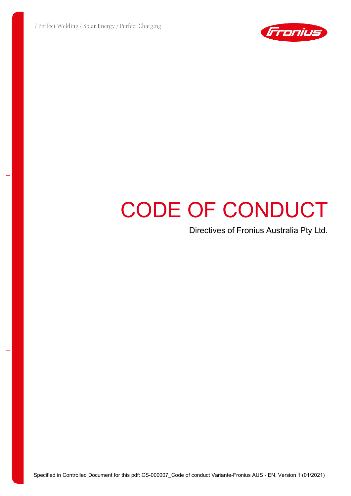

# CODE OF CONDUCT

Directives of Fronius Australia Pty Ltd.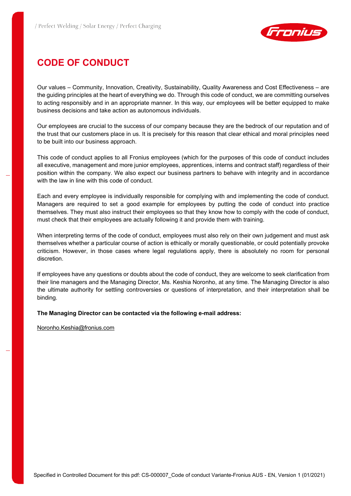

## **CODE OF CONDUCT**

Our values – Community, Innovation, Creativity, Sustainability, Quality Awareness and Cost Effectiveness – are the guiding principles at the heart of everything we do. Through this code of conduct, we are committing ourselves to acting responsibly and in an appropriate manner. In this way, our employees will be better equipped to make business decisions and take action as autonomous individuals.

Our employees are crucial to the success of our company because they are the bedrock of our reputation and of the trust that our customers place in us. It is precisely for this reason that clear ethical and moral principles need to be built into our business approach.

This code of conduct applies to all Fronius employees (which for the purposes of this code of conduct includes all executive, management and more junior employees, apprentices, interns and contract staff) regardless of their position within the company. We also expect our business partners to behave with integrity and in accordance with the law in line with this code of conduct.

Each and every employee is individually responsible for complying with and implementing the code of conduct. Managers are required to set a good example for employees by putting the code of conduct into practice themselves. They must also instruct their employees so that they know how to comply with the code of conduct, must check that their employees are actually following it and provide them with training.

When interpreting terms of the code of conduct, employees must also rely on their own judgement and must ask themselves whether a particular course of action is ethically or morally questionable, or could potentially provoke criticism. However, in those cases where legal regulations apply, there is absolutely no room for personal discretion.

If employees have any questions or doubts about the code of conduct, they are welcome to seek clarification from their line managers and the Managing Director, Ms. Keshia Noronho, at any time. The Managing Director is also the ultimate authority for settling controversies or questions of interpretation, and their interpretation shall be binding.

#### **The Managing Director can be contacted via the following e-mail address:**

[Noronho.Keshia@fronius.com](mailto:Noronho.Keshia@fronius.com)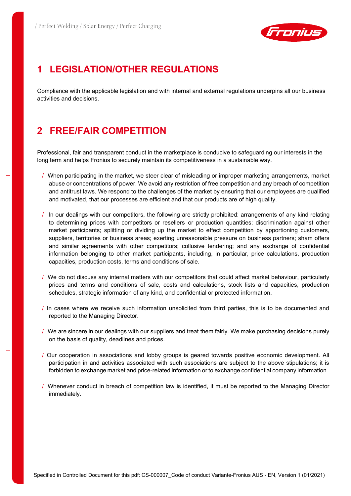

# **1 LEGISLATION/OTHER REGULATIONS**

Compliance with the applicable legislation and with internal and external regulations underpins all our business activities and decisions.

#### **2 FREE/FAIR COMPETITION**

Professional, fair and transparent conduct in the marketplace is conducive to safeguarding our interests in the long term and helps Fronius to securely maintain its competitiveness in a sustainable way.

- / When participating in the market, we steer clear of misleading or improper marketing arrangements, market abuse or concentrations of power. We avoid any restriction of free competition and any breach of competition and antitrust laws. We respond to the challenges of the market by ensuring that our employees are qualified and motivated, that our processes are efficient and that our products are of high quality.
- / In our dealings with our competitors, the following are strictly prohibited: arrangements of any kind relating to determining prices with competitors or resellers or production quantities; discrimination against other market participants; splitting or dividing up the market to effect competition by apportioning customers, suppliers, territories or business areas; exerting unreasonable pressure on business partners; sham offers and similar agreements with other competitors; collusive tendering; and any exchange of confidential information belonging to other market participants, including, in particular, price calculations, production capacities, production costs, terms and conditions of sale.
- / We do not discuss any internal matters with our competitors that could affect market behaviour, particularly prices and terms and conditions of sale, costs and calculations, stock lists and capacities, production schedules, strategic information of any kind, and confidential or protected information.
- / In cases where we receive such information unsolicited from third parties, this is to be documented and reported to the Managing Director.
- / We are sincere in our dealings with our suppliers and treat them fairly. We make purchasing decisions purely on the basis of quality, deadlines and prices.
- / Our cooperation in associations and lobby groups is geared towards positive economic development. All participation in and activities associated with such associations are subject to the above stipulations; it is forbidden to exchange market and price-related information or to exchange confidential company information.
- / Whenever conduct in breach of competition law is identified, it must be reported to the Managing Director immediately.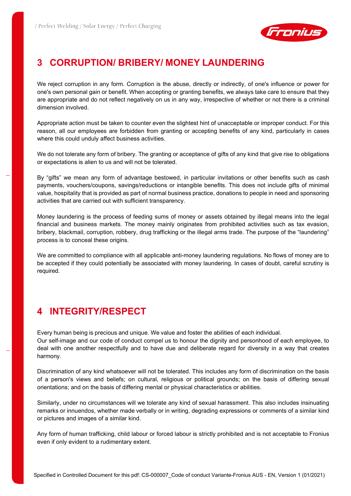

## **3 CORRUPTION/ BRIBERY/ MONEY LAUNDERING**

We reject corruption in any form. Corruption is the abuse, directly or indirectly, of one's influence or power for one's own personal gain or benefit. When accepting or granting benefits, we always take care to ensure that they are appropriate and do not reflect negatively on us in any way, irrespective of whether or not there is a criminal dimension involved.

Appropriate action must be taken to counter even the slightest hint of unacceptable or improper conduct. For this reason, all our employees are forbidden from granting or accepting benefits of any kind, particularly in cases where this could unduly affect business activities.

We do not tolerate any form of bribery. The granting or acceptance of gifts of any kind that give rise to obligations or expectations is alien to us and will not be tolerated.

By "gifts" we mean any form of advantage bestowed, in particular invitations or other benefits such as cash payments, vouchers/coupons, savings/reductions or intangible benefits. This does not include gifts of minimal value, hospitality that is provided as part of normal business practice, donations to people in need and sponsoring activities that are carried out with sufficient transparency.

Money laundering is the process of feeding sums of money or assets obtained by illegal means into the legal financial and business markets. The money mainly originates from prohibited activities such as tax evasion, bribery, blackmail, corruption, robbery, drug trafficking or the illegal arms trade. The purpose of the "laundering" process is to conceal these origins.

We are committed to compliance with all applicable anti-money laundering regulations. No flows of money are to be accepted if they could potentially be associated with money laundering. In cases of doubt, careful scrutiny is required.

#### **4 INTEGRITY/RESPECT**

Every human being is precious and unique. We value and foster the abilities of each individual. Our self-image and our code of conduct compel us to honour the dignity and personhood of each employee, to deal with one another respectfully and to have due and deliberate regard for diversity in a way that creates harmony.

Discrimination of any kind whatsoever will not be tolerated. This includes any form of discrimination on the basis of a person's views and beliefs; on cultural, religious or political grounds; on the basis of differing sexual orientations; and on the basis of differing mental or physical characteristics or abilities.

Similarly, under no circumstances will we tolerate any kind of sexual harassment. This also includes insinuating remarks or innuendos, whether made verbally or in writing, degrading expressions or comments of a similar kind or pictures and images of a similar kind.

Any form of human trafficking, child labour or forced labour is strictly prohibited and is not acceptable to Fronius even if only evident to a rudimentary extent.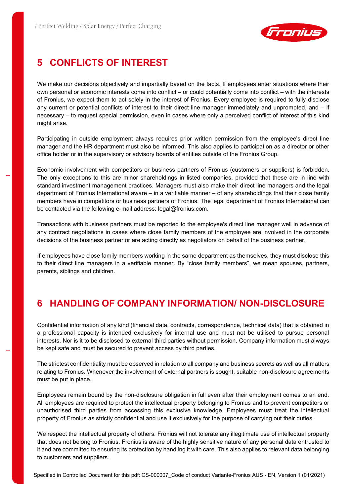

#### **5 CONFLICTS OF INTEREST**

We make our decisions objectively and impartially based on the facts. If employees enter situations where their own personal or economic interests come into conflict – or could potentially come into conflict – with the interests of Fronius, we expect them to act solely in the interest of Fronius. Every employee is required to fully disclose any current or potential conflicts of interest to their direct line manager immediately and unprompted, and – if necessary – to request special permission, even in cases where only a perceived conflict of interest of this kind might arise.

Participating in outside employment always requires prior written permission from the employee's direct line manager and the HR department must also be informed. This also applies to participation as a director or other office holder or in the supervisory or advisory boards of entities outside of the Fronius Group.

Economic involvement with competitors or business partners of Fronius (customers or suppliers) is forbidden. The only exceptions to this are minor shareholdings in listed companies, provided that these are in line with standard investment management practices. Managers must also make their direct line managers and the legal department of Fronius International aware – in a verifiable manner – of any shareholdings that their close family members have in competitors or business partners of Fronius. The legal department of Fronius International can be contacted via the following e-mail address: [legal@fronius.com.](mailto:legal@fronius.com)

Transactions with business partners must be reported to the employee's direct line manager well in advance of any contract negotiations in cases where close family members of the employee are involved in the corporate decisions of the business partner or are acting directly as negotiators on behalf of the business partner.

If employees have close family members working in the same department as themselves, they must disclose this to their direct line managers in a verifiable manner. By "close family members", we mean spouses, partners, parents, siblings and children.

#### **6 HANDLING OF COMPANY INFORMATION/ NON-DISCLOSURE**

Confidential information of any kind (financial data, contracts, correspondence, technical data) that is obtained in a professional capacity is intended exclusively for internal use and must not be utilised to pursue personal interests. Nor is it to be disclosed to external third parties without permission. Company information must always be kept safe and must be secured to prevent access by third parties.

The strictest confidentiality must be observed in relation to all company and business secrets as well as all matters relating to Fronius. Whenever the involvement of external partners is sought, suitable non-disclosure agreements must be put in place.

Employees remain bound by the non-disclosure obligation in full even after their employment comes to an end. All employees are required to protect the intellectual property belonging to Fronius and to prevent competitors or unauthorised third parties from accessing this exclusive knowledge. Employees must treat the intellectual property of Fronius as strictly confidential and use it exclusively for the purpose of carrying out their duties.

We respect the intellectual property of others. Fronius will not tolerate any illegitimate use of intellectual property that does not belong to Fronius. Fronius is aware of the highly sensitive nature of any personal data entrusted to it and are committed to ensuring its protection by handling it with care. This also applies to relevant data belonging to customers and suppliers.